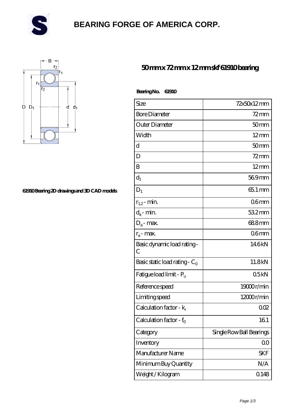

# **[BEARING FORGE OF AMERICA CORP.](https://danwei.tv)**



#### **[61910 Bearing 2D drawings and 3D CAD models](https://danwei.tv/pic-461744.html)**

### **[50 mm x 72 mm x 12 mm skf 61910 bearing](https://danwei.tv/skf-61910-bearing/)**

| BearingNo. | 61910 |
|------------|-------|
|------------|-------|

| Size                                | 72x50x12mm               |
|-------------------------------------|--------------------------|
| <b>Bore Diameter</b>                | $72$ mm                  |
| Outer Diameter                      | 50 <sub>mm</sub>         |
| Width                               | $12 \text{mm}$           |
| d                                   | 50 <sub>mm</sub>         |
| D                                   | $72$ mm                  |
| B                                   | $12$ mm                  |
| $d_1$                               | 569mm                    |
| $D_1$                               | 65.1 mm                  |
| $r_{1,2}$ - min.                    | 06mm                     |
| $d_a$ - min.                        | $532$ mm                 |
| $D_a$ - max.                        | 688mm                    |
| $r_a$ - max.                        | 06 <sub>mm</sub>         |
| Basic dynamic load rating-<br>С     | 146kN                    |
| Basic static load rating - $C_0$    | 11.8kN                   |
| Fatigue load limit - P <sub>u</sub> | 05kN                     |
| Reference speed                     | 19000r/min               |
| Limiting speed                      | 12000r/min               |
| Calculation factor - k <sub>r</sub> | 002                      |
| Calculation factor - $f_0$          | 161                      |
| Category                            | Single Row Ball Bearings |
| Inventory                           | 0 <sup>0</sup>           |
| Manufacturer Name                   | <b>SKF</b>               |
| Minimum Buy Quantity                | N/A                      |
| Weight/Kilogram                     | 0.148                    |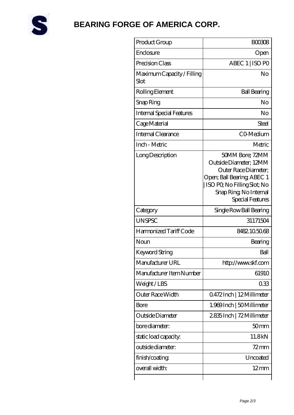

# **[BEARING FORGE OF AMERICA CORP.](https://danwei.tv)**

| Product Group                      | <b>BOO308</b>                                                                                                                                                               |
|------------------------------------|-----------------------------------------------------------------------------------------------------------------------------------------------------------------------------|
| Enclosure                          | Open                                                                                                                                                                        |
| Precision Class                    | ABEC 1   ISO PO                                                                                                                                                             |
| Maximum Capacity / Filling<br>Slot | No                                                                                                                                                                          |
| Rolling Element                    | <b>Ball Bearing</b>                                                                                                                                                         |
| Snap Ring                          | No                                                                                                                                                                          |
| <b>Internal Special Features</b>   | No                                                                                                                                                                          |
| Cage Material                      | Steel                                                                                                                                                                       |
| <b>Internal Clearance</b>          | CO-Medium                                                                                                                                                                   |
| Inch - Metric                      | Metric                                                                                                                                                                      |
| Long Description                   | 50MM Bore; 72MM<br>Outside Diameter; 12MM<br>Outer Race Diameter;<br>Open; Ball Bearing; ABEC 1<br>ISO PQ No Filling Slot; No<br>Snap Ring, No Internal<br>Special Features |
| Category                           | Single Row Ball Bearing                                                                                                                                                     |
| <b>UNSPSC</b>                      | 31171504                                                                                                                                                                    |
| Harmonized Tariff Code             | 8482105068                                                                                                                                                                  |
| Noun                               | Bearing                                                                                                                                                                     |
| Keyword String                     | Ball                                                                                                                                                                        |
| Manufacturer URL                   | http://www.skf.com                                                                                                                                                          |
| Manufacturer Item Number           | 61910                                                                                                                                                                       |
| Weight/LBS                         | 033                                                                                                                                                                         |
| Outer Race Width                   | 0472Inch   12Millimeter                                                                                                                                                     |
| Bore                               | 1.969 Inch   50 Millimeter                                                                                                                                                  |
| Outside Diameter                   | 2.835 Inch   72 Millimeter                                                                                                                                                  |
| bore diameter:                     | 50 <sub>mm</sub>                                                                                                                                                            |
| static load capacity.              | 11.8kN                                                                                                                                                                      |
| outside diameter:                  | $72$ mm                                                                                                                                                                     |
| finish/coating                     | Uncoated                                                                                                                                                                    |
| overall width:                     | $12 \text{mm}$                                                                                                                                                              |
|                                    |                                                                                                                                                                             |